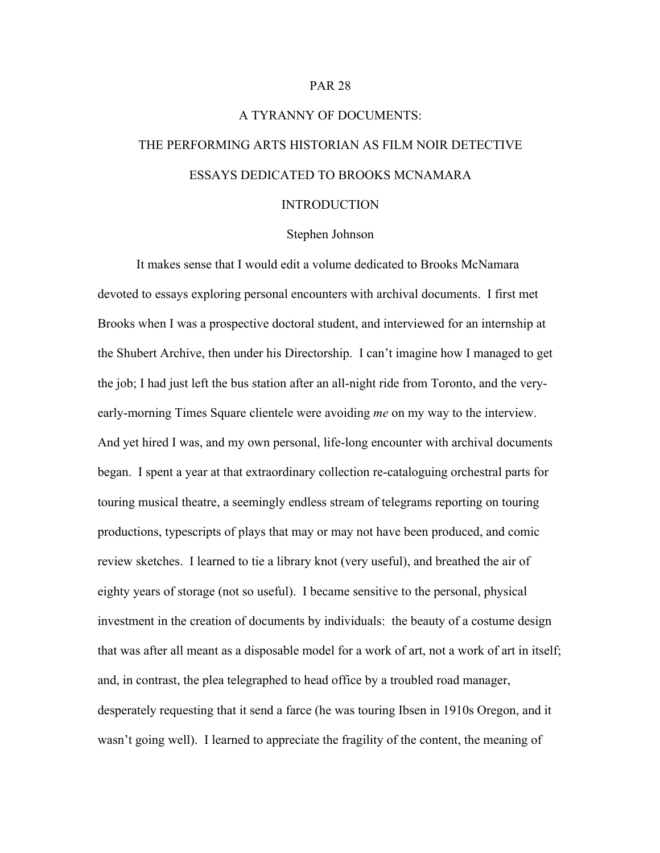### PAR 28

# A TYRANNY OF DOCUMENTS: THE PERFORMING ARTS HISTORIAN AS FILM NOIR DETECTIVE ESSAYS DEDICATED TO BROOKS MCNAMARA

#### INTRODUCTION

## Stephen Johnson

It makes sense that I would edit a volume dedicated to Brooks McNamara devoted to essays exploring personal encounters with archival documents. I first met Brooks when I was a prospective doctoral student, and interviewed for an internship at the Shubert Archive, then under his Directorship. I can't imagine how I managed to get the job; I had just left the bus station after an all-night ride from Toronto, and the veryearly-morning Times Square clientele were avoiding *me* on my way to the interview. And yet hired I was, and my own personal, life-long encounter with archival documents began. I spent a year at that extraordinary collection re-cataloguing orchestral parts for touring musical theatre, a seemingly endless stream of telegrams reporting on touring productions, typescripts of plays that may or may not have been produced, and comic review sketches. I learned to tie a library knot (very useful), and breathed the air of eighty years of storage (not so useful). I became sensitive to the personal, physical investment in the creation of documents by individuals: the beauty of a costume design that was after all meant as a disposable model for a work of art, not a work of art in itself; and, in contrast, the plea telegraphed to head office by a troubled road manager, desperately requesting that it send a farce (he was touring Ibsen in 1910s Oregon, and it wasn't going well). I learned to appreciate the fragility of the content, the meaning of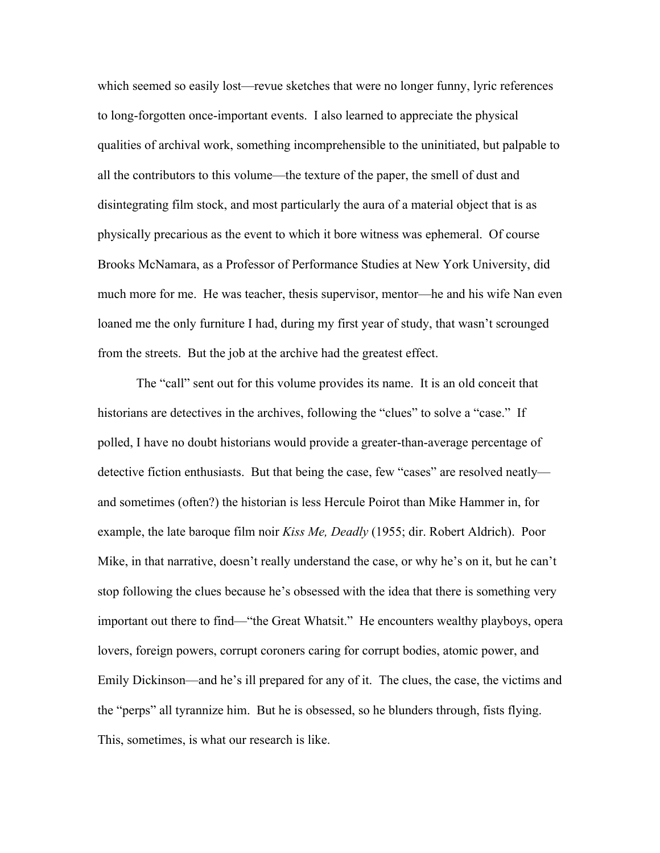which seemed so easily lost—revue sketches that were no longer funny, lyric references to long-forgotten once-important events. I also learned to appreciate the physical qualities of archival work, something incomprehensible to the uninitiated, but palpable to all the contributors to this volume—the texture of the paper, the smell of dust and disintegrating film stock, and most particularly the aura of a material object that is as physically precarious as the event to which it bore witness was ephemeral. Of course Brooks McNamara, as a Professor of Performance Studies at New York University, did much more for me. He was teacher, thesis supervisor, mentor—he and his wife Nan even loaned me the only furniture I had, during my first year of study, that wasn't scrounged from the streets. But the job at the archive had the greatest effect.

The "call" sent out for this volume provides its name. It is an old conceit that historians are detectives in the archives, following the "clues" to solve a "case." If polled, I have no doubt historians would provide a greater-than-average percentage of detective fiction enthusiasts. But that being the case, few "cases" are resolved neatly and sometimes (often?) the historian is less Hercule Poirot than Mike Hammer in, for example, the late baroque film noir *Kiss Me, Deadly* (1955; dir. Robert Aldrich). Poor Mike, in that narrative, doesn't really understand the case, or why he's on it, but he can't stop following the clues because he's obsessed with the idea that there is something very important out there to find—"the Great Whatsit." He encounters wealthy playboys, opera lovers, foreign powers, corrupt coroners caring for corrupt bodies, atomic power, and Emily Dickinson—and he's ill prepared for any of it. The clues, the case, the victims and the "perps" all tyrannize him. But he is obsessed, so he blunders through, fists flying. This, sometimes, is what our research is like.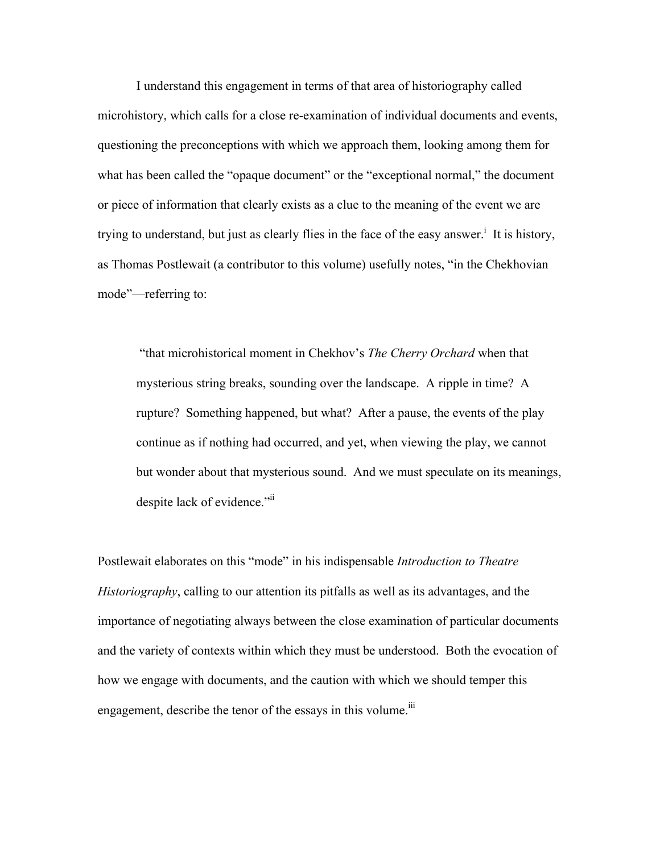I understand this engagement in terms of that area of historiography called microhistory, which calls for a close re-examination of individual documents and events, questioning the preconceptions with which we approach them, looking among them for what has been called the "opaque document" or the "exceptional normal," the document or piece of information that clearly exists as a clue to the meaning of the event we are trying to understand, but just as clearly flies in the face of the easy answer.<sup>1</sup> It is history, as Thomas Postlewait (a contributor to this volume) usefully notes, "in the Chekhovian mode"—referring to:

"that microhistorical moment in Chekhov's *The Cherry Orchard* when that mysterious string breaks, sounding over the landscape. A ripple in time? A rupture? Something happened, but what? After a pause, the events of the play continue as if nothing had occurred, and yet, when viewing the play, we cannot but wonder about that mysterious sound. And we must speculate on its meanings, despite lack of evidence."ii

Postlewait elaborates on this "mode" in his indispensable *Introduction to Theatre Historiography*, calling to our attention its pitfalls as well as its advantages, and the importance of negotiating always between the close examination of particular documents and the variety of contexts within which they must be understood. Both the evocation of how we engage with documents, and the caution with which we should temper this engagement, describe the tenor of the essays in this volume.<sup>iii</sup>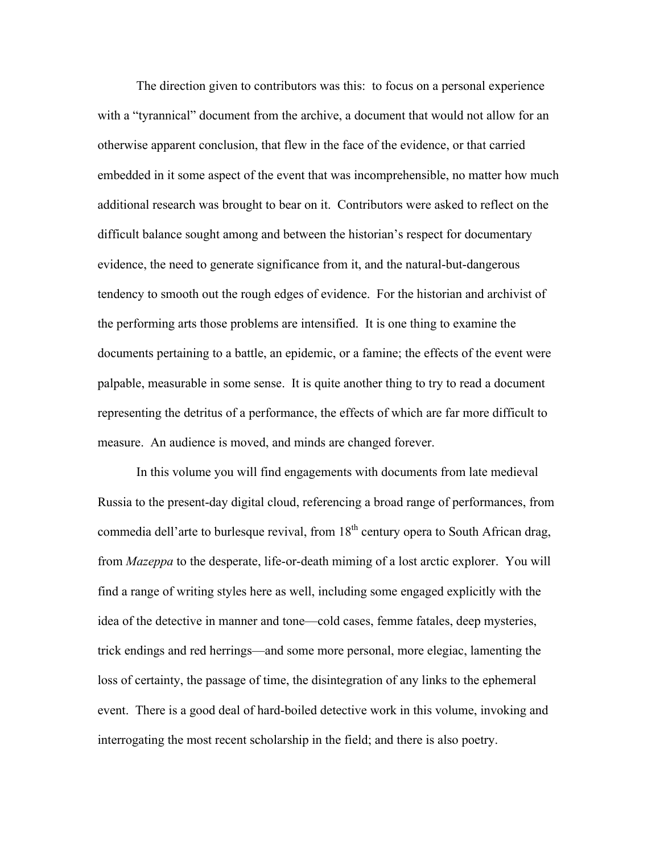The direction given to contributors was this: to focus on a personal experience with a "tyrannical" document from the archive, a document that would not allow for an otherwise apparent conclusion, that flew in the face of the evidence, or that carried embedded in it some aspect of the event that was incomprehensible, no matter how much additional research was brought to bear on it. Contributors were asked to reflect on the difficult balance sought among and between the historian's respect for documentary evidence, the need to generate significance from it, and the natural-but-dangerous tendency to smooth out the rough edges of evidence. For the historian and archivist of the performing arts those problems are intensified. It is one thing to examine the documents pertaining to a battle, an epidemic, or a famine; the effects of the event were palpable, measurable in some sense. It is quite another thing to try to read a document representing the detritus of a performance, the effects of which are far more difficult to measure. An audience is moved, and minds are changed forever.

In this volume you will find engagements with documents from late medieval Russia to the present-day digital cloud, referencing a broad range of performances, from commedia dell'arte to burlesque revival, from  $18<sup>th</sup>$  century opera to South African drag, from *Mazeppa* to the desperate, life-or-death miming of a lost arctic explorer. You will find a range of writing styles here as well, including some engaged explicitly with the idea of the detective in manner and tone—cold cases, femme fatales, deep mysteries, trick endings and red herrings—and some more personal, more elegiac, lamenting the loss of certainty, the passage of time, the disintegration of any links to the ephemeral event. There is a good deal of hard-boiled detective work in this volume, invoking and interrogating the most recent scholarship in the field; and there is also poetry.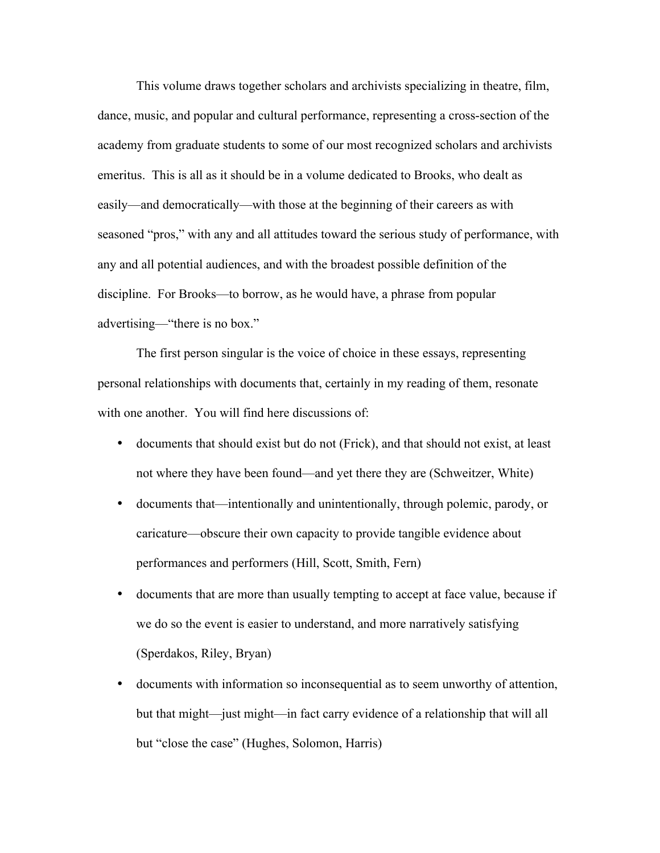This volume draws together scholars and archivists specializing in theatre, film, dance, music, and popular and cultural performance, representing a cross-section of the academy from graduate students to some of our most recognized scholars and archivists emeritus. This is all as it should be in a volume dedicated to Brooks, who dealt as easily—and democratically—with those at the beginning of their careers as with seasoned "pros," with any and all attitudes toward the serious study of performance, with any and all potential audiences, and with the broadest possible definition of the discipline. For Brooks—to borrow, as he would have, a phrase from popular advertising—"there is no box."

The first person singular is the voice of choice in these essays, representing personal relationships with documents that, certainly in my reading of them, resonate with one another. You will find here discussions of:

- documents that should exist but do not (Frick), and that should not exist, at least not where they have been found—and yet there they are (Schweitzer, White)
- documents that—intentionally and unintentionally, through polemic, parody, or caricature—obscure their own capacity to provide tangible evidence about performances and performers (Hill, Scott, Smith, Fern)
- documents that are more than usually tempting to accept at face value, because if we do so the event is easier to understand, and more narratively satisfying (Sperdakos, Riley, Bryan)
- documents with information so inconsequential as to seem unworthy of attention, but that might—just might—in fact carry evidence of a relationship that will all but "close the case" (Hughes, Solomon, Harris)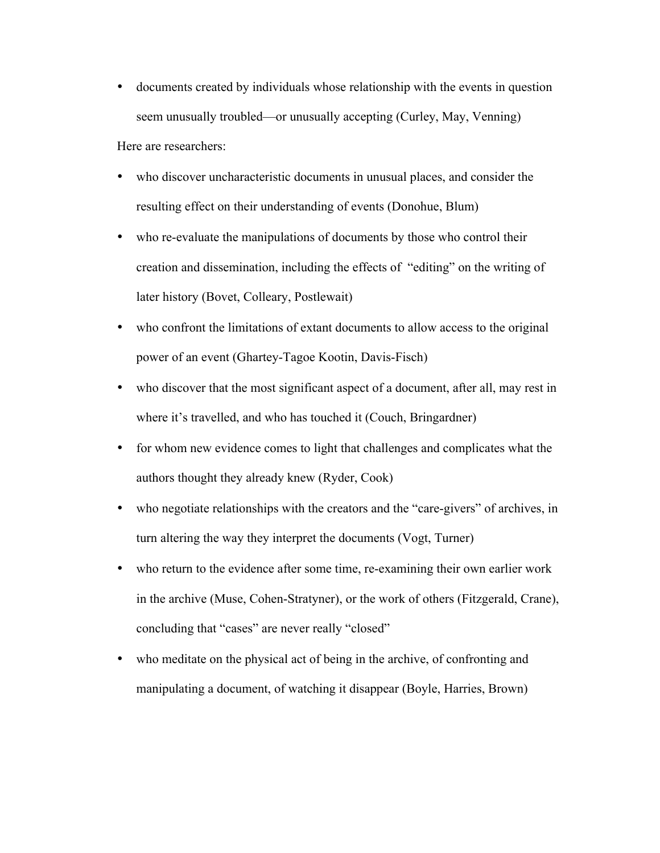- documents created by individuals whose relationship with the events in question seem unusually troubled—or unusually accepting (Curley, May, Venning) Here are researchers:
- who discover uncharacteristic documents in unusual places, and consider the resulting effect on their understanding of events (Donohue, Blum)
- who re-evaluate the manipulations of documents by those who control their creation and dissemination, including the effects of "editing" on the writing of later history (Bovet, Colleary, Postlewait)
- who confront the limitations of extant documents to allow access to the original power of an event (Ghartey-Tagoe Kootin, Davis-Fisch)
- who discover that the most significant aspect of a document, after all, may rest in where it's travelled, and who has touched it (Couch, Bringardner)
- for whom new evidence comes to light that challenges and complicates what the authors thought they already knew (Ryder, Cook)
- who negotiate relationships with the creators and the "care-givers" of archives, in turn altering the way they interpret the documents (Vogt, Turner)
- who return to the evidence after some time, re-examining their own earlier work in the archive (Muse, Cohen-Stratyner), or the work of others (Fitzgerald, Crane), concluding that "cases" are never really "closed"
- who meditate on the physical act of being in the archive, of confronting and manipulating a document, of watching it disappear (Boyle, Harries, Brown)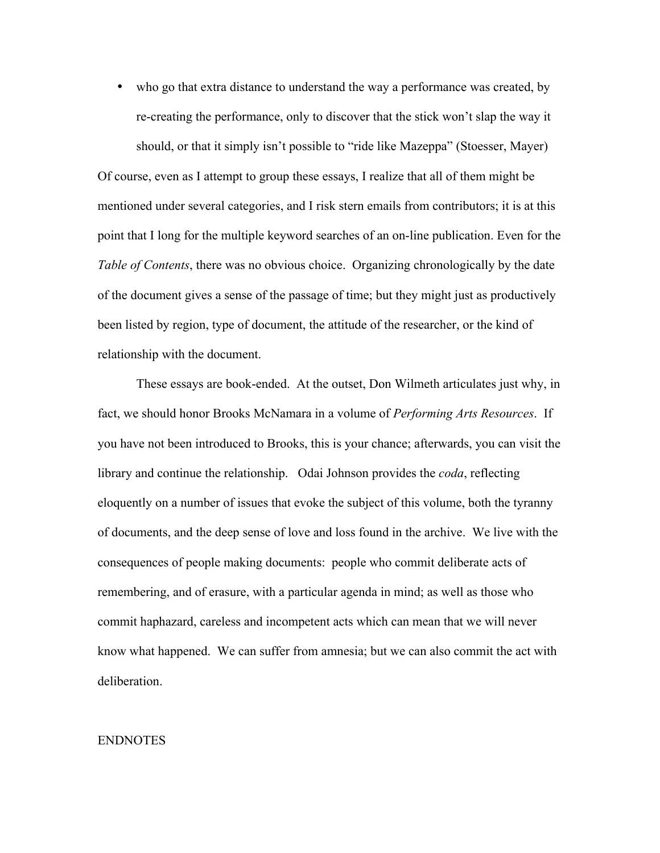• who go that extra distance to understand the way a performance was created, by re-creating the performance, only to discover that the stick won't slap the way it should, or that it simply isn't possible to "ride like Mazeppa" (Stoesser, Mayer)

Of course, even as I attempt to group these essays, I realize that all of them might be mentioned under several categories, and I risk stern emails from contributors; it is at this point that I long for the multiple keyword searches of an on-line publication. Even for the *Table of Contents*, there was no obvious choice. Organizing chronologically by the date of the document gives a sense of the passage of time; but they might just as productively been listed by region, type of document, the attitude of the researcher, or the kind of relationship with the document.

These essays are book-ended. At the outset, Don Wilmeth articulates just why, in fact, we should honor Brooks McNamara in a volume of *Performing Arts Resources*. If you have not been introduced to Brooks, this is your chance; afterwards, you can visit the library and continue the relationship. Odai Johnson provides the *coda*, reflecting eloquently on a number of issues that evoke the subject of this volume, both the tyranny of documents, and the deep sense of love and loss found in the archive. We live with the consequences of people making documents: people who commit deliberate acts of remembering, and of erasure, with a particular agenda in mind; as well as those who commit haphazard, careless and incompetent acts which can mean that we will never know what happened. We can suffer from amnesia; but we can also commit the act with deliberation.

## ENDNOTES